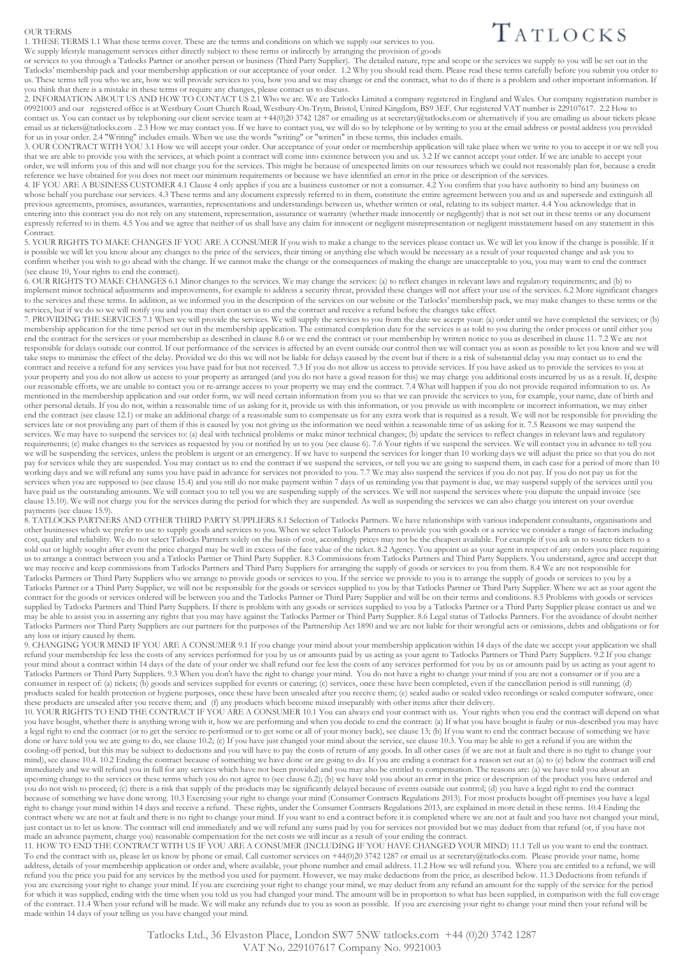## OUR TERMS

1. THESE TERMS 1.1 What these terms cover. These are the terms and conditions on which we supply our services to you. We supply lifestyle management services either directly subject to these terms or indirectly by arranging the provision of goods

TATLOCKS

or services to you through a Tatlocks Partner or another person or business (Third Party Supplier). The detailed nature, type and scope or the services we supply to you will be set out in the Tatlocks' membership pack and your membership application or our acceptance of your order. 1.2 Why you should read them. Please read these terms carefully before you submit you order to us. These terms tell you who we are, how we will provide services to you, how you and we may change or end the contract, what to do if there is a problem and other important information. If you think that there is a mistake in these terms or require any changes, please contact us to discuss.

2. INFORMATION ABOUT US AND HOW TO CONTACT US 2.1 Who we are. We are Tatlocks Limited a company registered in England and Wales. Our company registration number is 09921003 and our registered office is at Westbury Court Church Road, Westbury-On-Trym, Bristol, United Kingdom, BS9 3EF. Our registered VAT number is 229107617. 2.2 How to contact us. You can contact us by telephoning our client service team at +44(0)20 3742 1287 or emailing us at secretary@tatlocks.com or alternatively if you are emailing us about tickets please email us at tickets@tatlocks.com . 2.3 How we may contact you. If we have to contact you, we will do so by telephone or by writing to you at the email address or postal address you provided for us in your order. 2.4 "Writing" includes emails. When we use the words "writing" or "written" in these terms, this includes emails.

3. OUR CONTRACT WITH YOU 3.1 How we will accept your order. Our acceptance of your order or membership application will take place when we write to you to accept it or we tell you that we are able to provide you with the services, at which point a contract will come into existence between you and us. 3.2 If we cannot accept your order. If we are unable to accept your order, we will inform you of this and will not charge you for the services. This might be because of unexpected limits on our resources which we could not reasonably plan for, because a credit reference we have obtained for you does not meet our minimum requirements or because we have identified an error in the price or description of the services.

4. IF YOU ARE A BUSINESS CUSTOMER 4.1 Clause 4 only applies if you are a business customer or not a consumer. 4.2 You confirm that you have authority to bind any business on whose behalf you purchase our services. 4.3 These terms and any document expressly referred to in them, constitute the entire agreement between you and us and supersede and extinguish all previous agreements, promises, assurances, warranties, representations and understandings between us, whether written or oral, relating to its subject matter. 4.4 You acknowledge that in entering into this contract you do not rely on any statement, representation, assurance or warranty (whether made innocently or negligently) that is not set out in these terms or any document expressly referred to in them. 4.5 You and we agree that neither of us shall have any claim for innocent or negligent misrepresentation or negligent misstatement based on any statement in this Contract.

5. YOUR RIGHTS TO MAKE CHANGES IF YOU ARE A CONSUMER If you wish to make a change to the services please contact us. We will let you know if the change is possible. If it is possible we will let you know about any changes to the price of the services, their timing or anything else which would be necessary as a result of your requested change and ask you to confirm whether you wish to go ahead with the change. If we cannot make the change or the consequences of making the change are unacceptable to you, you may want to end the contract (see clause 10, Your rights to end the contract).

6. OUR RIGHTS TO MAKE CHANGES 6.1 Minor changes to the services. We may change the services: (a) to reflect changes in relevant laws and regulatory requirements; and (b) to implement minor technical adjustments and improvements, for example to address a security threat, provided these changes will not affect your use of the services. 6.2 More significant changes to the services and these terms. In addition, as we informed you in the description of the services on our website or the Tatlocks' membership pack, we may make changes to these terms or the services, but if we do so we will notify you and you may then contact us to end the contract and receive a refund before the changes take effect.

7. PROVIDING THE SERVICES 7.1 When we will provide the services. We will supply the services to you from the date we accept your: (a) order until we have completed the services; or (b) membership application for the time period set out in the membership application. The estimated completion date for the services is as told to you during the order process or until either you end the contract for the services or your membership as described in clause 8.6 or we end the contract or your membership by written notice to you as described in clause 11. 7.2 We are not responsible for delays outside our control. If our performance of the services is affected by an event outside our control then we will contact you as soon as possible to let you know and we will take steps to minimise the effect of the delay. Provided we do this we will not be liable for delays caused by the event but if there is a risk of substantial delay you may contact us to end the contract and receive a refund for any services you have paid for but not received. 7.3 If you do not allow us access to provide services. If you have asked us to provide the services to you at your property and you do not allow us access to your property as arranged (and you do not have a good reason for this) we may charge you additional costs incurred by us as a result. If, despite our reasonable efforts, we are unable to contact you or re-arrange access to your property we may end the contract. 7.4 What will happen if you do not provide required information to us. As mentioned in the membership application and our order form, we will need certain information from you so that we can provide the services to you, for example, your name, date of birth and other personal details. If you do not, within a reasonable time of us asking for it, provide us with this information, or you provide us with incomplete or incorrect information, we may either end the contract (see clause 12.1) or make an additional charge of a reasonable sum to compensate us for any extra work that is required as a result. We will not be responsible for providing the services late or not providing any part of them if this is caused by you not giving us the information we need within a reasonable time of us asking for it. 7.5 Reasons we may suspend the services. We may have to suspend the services to: (a) deal with technical problems or make minor technical changes; (b) update the services to reflect changes in relevant laws and regulatory requirements; (c) make changes to the services as requested by you or notified by us to you (see clause 6). 7.6 Your rights if we suspend the services. We will contact you in advance to tell you we will be suspending the services, unless the problem is urgent or an emergency. If we have to suspend the services for longer than 10 working days we will adjust the price so that you do not pay for services while they are suspended. You may contact us to end the contract if we suspend the services, or tell you we are going to suspend them, in each case for a period of more than 10 working days and we will refund any sums you have paid in advance for services not provided to you. 7.7 We may also suspend the services if you do not pay. If you do not pay us for the services when you are supposed to (see clause 15.4) and you still do not make payment within 7 days of us reminding you that payment is due, we may suspend supply of the services until you services until you services until have paid us the outstanding amounts. We will contact you to tell you we are suspending supply of the services. We will not suspend the services where you dispute the unpaid invoice (see clause 15.10). We will not charge you for the services during the period for which they are suspended. As well as suspending the services we can also charge you interest on your overdue payments (see clause 15.9).

8. TATLOCKS PARTNERS AND OTHER THIRD PARTY SUPPLIERS 8.1 Selection of Tatlocks Partners. We have relationships with various independent consultants, organisations and other businesses which we prefer to use to supply goods and services to you. When we select Tatlocks Partners to provide you with goods or a service we consider a range of factors including cost, quality and reliability. We do not select Tatlocks Partners solely on the basis of cost, accordingly prices may not be the cheapest available. For example if you ask us to source tickets to a sold out or highly sought after event the price charged may be well in excess of the face value of the ticket. 8.2 Agency. You appoint us as your agent in respect of any orders you place requiring us to arrange a contract between you and a Tatlocks Partner or Third Party Supplier. 8.3 Commissions from Tatlocks Partners and Third Party Suppliers. You understand, agree and accept that we may receive and keep commissions from Tatlocks Partners and Third Party Suppliers for arranging the supply of goods or services to you from them. 8.4 We are not responsible for Tatlocks Partners or Third Party Suppliers who we arrange to provide goods or services to you. If the service we provide to you is to arrange the supply of goods or services to you by a Tatlocks Partner or a Third Party Supplier, we will not be responsible for the goods or services supplied to you by that Tatlocks Partner or Third Party Supplier. Where we act as your agent the contract for the goods or services ordered will be between you and the Tatlocks Partner or Third Party Supplier and will be on their terms and conditions. 8.5 Problems with goods or services supplied by Tatlocks Partners and Third Party Suppliers. If there is problem with any goods or services supplied to you by a Tatlocks Partner or a Third Party Supplier please contact us and we may be able to assist you in asserting any rights that you may have against the Tatlocks Partner or Third Party Supplier. 8.6 Legal status of Tatlocks Partners. For the avoidance of doubt neither Tatlocks Partners nor Third Party Suppliers are our partners for the purposes of the Partnership Act 1890 and we are not liable for their wrongful acts or omissions, debts and obligations or for any loss or injury caused by them.

9. CHANGING YOUR MIND IF YOU ARE A CONSUMER 9.1 If you change your mind about your membership application within 14 days of the date we accept your application we shall refund your membership fee less the costs of any services performed for you by us or amounts paid by us acting as your agent to Tatlocks Partners or Third Party Suppliers. 9.2 If you change your mind about a contract within 14 days of the date of your order we shall refund our fee less the costs of any services performed for you by us or amounts paid by us acting as your agent to Tatlocks Partners or Third Party Suppliers. 9.3 When you don't have the right to change your mind. You do not have a right to change your mind if you are not a consumer or if you are a consumer in respect of: (a) tickets; (b) goods and services supplied for events or catering; (c) services, once these have been completed, even if the cancellation period is still running; (d) products sealed for health protection or hygiene purposes, once these have been unsealed after you receive them; (e) sealed audio or sealed video recordings or sealed computer software, once these products are unsealed after you receive them; and (f) any products which become mixed inseparably with other items after their delivery.

10. YOUR RIGHTS TO END THE CONTRACT IF YOU ARE A CONSUMER 10.1 You can always end your contract with us. Your rights when you end the contract will depend on what you have bought, whether there is anything wrong with it, how we are performing and when you decide to end the contract: (a) If what you have bought is faulty or mis-described you may have a legal right to end the contract (or to get the service re-performed or to get some or all of your money back), see clause 13; (b) If you want to end the contract because of something we have done or have told you we are going to do, see clause 10.2; (c) If you have just changed your mind about the service, see clause 10.3. You may be able to get a refund if you are within the cooling-off period, but this may be subject to deductions and you will have to pay the costs of return of any goods. In all other cases (if we are not at fault and there is no right to change your mind), see clause 10.4. 10.2 Ending the contract because of something we have done or are going to do. If you are ending a contract for a reason set out at (a) to (e) below the contract will end immediately and we will refund you in full for any services which have not been provided and you may also be entitled to compensation. The reasons are: (a) we have told you about an upcoming change to the services or these terms which you do not agree to (see clause 6.2); (b) we have told you about an error in the price or description of the product you have ordered and you do not wish to proceed; (c) there is a risk that supply of the products may be significantly delayed because of events outside our control; (d) you have a legal right to end the contract because of something we have done wrong. 10.3 Exercising your right to change your mind (Consumer Contracts Regulations 2013). For most products bought off-premises you have a legal right to change your mind within 14 days and receive a refund. These rights, under the Consumer Contracts Regulations 2013, are explained in more detail in these terms. 10.4 Ending the contract where we are not at fault and there is no right to change your mind. If you want to end a contract before it is completed where we are not at fault and you have not changed your mind, just contact us to let us know. The contract will end immediately and we will refund any sums paid by you for services not provided but we may deduct from that refund (or, if you have not made an advance payment, charge you) reasonable compensation for the net costs we will incur as a result of your ending the contract.

11. HOW TO END THE CONTRACT WITH US IF YOU ARE A CONSUMER (INCLUDING IF YOU HAVE CHANGED YOUR MIND) 11.1 Tell us you want to end the contract. To end the contract with us, please let us know by phone or email. Call customer services on +44(0)20 3742 1287 or email us at secretary@tatlocks.com. Please provide your name, home address, details of your membership application or order and, where available, your phone number and email address. 11.2 How we will refund you. Where you are entitled to a refund, we will refund you the price you paid for any services by the method you used for payment. However, we may make deductions from the price, as described below. 11.3 Deductions from refunds if you are exercising your right to change your mind. If you are exercising your right to change your mind, we may deduct from any refund an amount for the supply of the service for the period for which it was supplied, ending with the time when you told us you had changed your mind. The amount will be in proportion to what has been supplied, in comparison with the full coverage of the contract. 11.4 When your refund will be made. We will make any refunds due to you as soon as possible. If you are exercising your right to change your mind then your refund will be made within 14 days of your telling us you have changed your mind.

> Tatlocks Ltd., 36 Elvaston Place, London SW7 5NW tatlocks.com +44 (0)20 3742 1287 VAT No. 229107617 Company No. 9921003